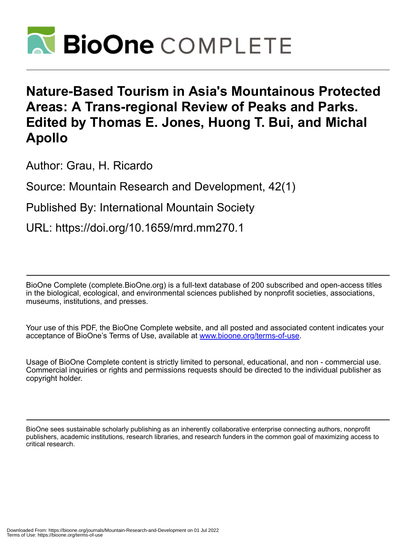

## **Nature-Based Tourism in Asia's Mountainous Protected Areas: A Trans-regional Review of Peaks and Parks. Edited by Thomas E. Jones, Huong T. Bui, and Michal Apollo**

Author: Grau, H. Ricardo

Source: Mountain Research and Development, 42(1)

Published By: International Mountain Society

URL: https://doi.org/10.1659/mrd.mm270.1

BioOne Complete (complete.BioOne.org) is a full-text database of 200 subscribed and open-access titles in the biological, ecological, and environmental sciences published by nonprofit societies, associations, museums, institutions, and presses.

Your use of this PDF, the BioOne Complete website, and all posted and associated content indicates your acceptance of BioOne's Terms of Use, available at www.bioone.org/terms-of-use.

Usage of BioOne Complete content is strictly limited to personal, educational, and non - commercial use. Commercial inquiries or rights and permissions requests should be directed to the individual publisher as copyright holder.

BioOne sees sustainable scholarly publishing as an inherently collaborative enterprise connecting authors, nonprofit publishers, academic institutions, research libraries, and research funders in the common goal of maximizing access to critical research.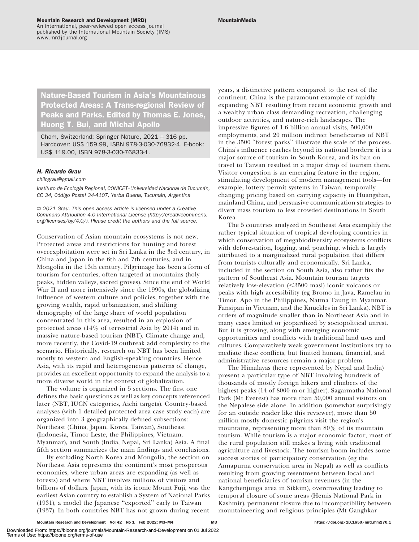An international, peer-reviewed open access journal published by the International Mountain Society (IMS) www.mrd-journal.org

Nature-Based Tourism in Asia's Mountainous Protected Areas: A Trans-regional Review of Peaks and Parks. Edited by Thomas E. Jones, Huong T. Bui, and Michal Apollo

Cham, Switzerland: Springer Nature,  $2021 + 316$  pp. Hardcover: US\$ 159.99, ISBN 978-3-030-76832-4. E-book: US\$ 119.00, ISBN 978-3-030-76833-1.

## H. Ricardo Grau

[chilograu@gmail.com](mailto:chilograu@gmail.com)

Instituto de Ecología Regional, CONICET-Universidad Nacional de Tucumán, CC 34, Código Postal 34-4107, Yerba Buena, Tucumán, Argentina

© 2021 Grau. This open access article is licensed under a Creative Commons Attribution 4.0 International License [\(http://creativecommons.](http://creativecommons.org/licenses/by/4.0/) [org/licenses/by/4.0/\)](http://creativecommons.org/licenses/by/4.0/). Please credit the authors and the full source.

Conservation of Asian mountain ecosystems is not new. Protected areas and restrictions for hunting and forest overexploitation were set in Sri Lanka in the 3rd century, in China and Japan in the 6th and 7th centuries, and in Mongolia in the 13th century. Pilgrimage has been a form of tourism for centuries, often targeted at mountains (holy peaks, hidden valleys, sacred groves). Since the end of World War II and more intensively since the 1990s, the globalizing influence of western culture and policies, together with the growing wealth, rapid urbanization, and shifting demography of the large share of world population concentrated in this area, resulted in an explosion of protected areas (14% of terrestrial Asia by 2014) and in massive nature-based tourism (NBT). Climate change and, more recently, the Covid-19 outbreak add complexity to the scenario. Historically, research on NBT has been limited mostly to western and English-speaking countries. Hence Asia, with its rapid and heterogeneous patterns of change, provides an excellent opportunity to expand the analysis to a more diverse world in the context of globalization.

The volume is organized in 5 sections. The first one defines the basic questions as well as key concepts referenced later (NBT, IUCN categories, Aichi targets). Country-based analyses (with 1 detailed protected area case study each) are organized into 3 geographically defined subsections: Northeast (China, Japan, Korea, Taiwan), Southeast (Indonesia, Timor Leste, the Philippines, Vietnam, Myanmar), and South (India, Nepal, Sri Lanka) Asia. A final fifth section summarizes the main findings and conclusions.

By excluding North Korea and Mongolia, the section on Northeast Asia represents the continent's most prosperous economies, where urban areas are expanding (as well as forests) and where NBT involves millions of visitors and billions of dollars. Japan, with its iconic Mount Fuji, was the earliest Asian country to establish a System of National Parks (1931), a model the Japanese ''exported'' early to Taiwan (1937). In both countries NBT has not grown during recent

years, a distinctive pattern compared to the rest of the continent. China is the paramount example of rapidly expanding NBT resulting from recent economic growth and a wealthy urban class demanding recreation, challenging outdoor activities, and nature-rich landscapes. The impressive figures of 1.6 billion annual visits, 500,000 employments, and 20 million indirect beneficiaries of NBT in the 3500 ''forest parks'' illustrate the scale of the process. China's influence reaches beyond its national borders: it is a major source of tourism in South Korea, and its ban on travel to Taiwan resulted in a major drop of tourism there. Visitor congestion is an emerging feature in the region, stimulating development of modern management tools—for example, lottery permit systems in Taiwan, temporally changing pricing based on carrying capacity in Huangshan, mainland China, and persuasive communication strategies to divert mass tourism to less crowded destinations in South Korea.

The 5 countries analyzed in Southeast Asia exemplify the rather typical situation of tropical developing countries in which conservation of megabiodiversity ecosystems conflicts with deforestation, logging, and poaching, which is largely attributed to a marginalized rural population that differs from tourists culturally and economically. Sri Lanka, included in the section on South Asia, also rather fits the pattern of Southeast Asia. Mountain tourism targets relatively low-elevation  $(< 3500$  masl) iconic volcanos or peaks with high accessibility (eg Bromo in Java, Ramelau in Timor, Apo in the Philippines, Natma Taung in Myanmar, Fansipan in Vietnam, and the Knuckles in Sri Lanka). NBT is orders of magnitude smaller than in Northeast Asia and in many cases limited or jeopardized by sociopolitical unrest. But it is growing, along with emerging economic opportunities and conflicts with traditional land uses and cultures. Comparatively weak government institutions try to mediate these conflicts, but limited human, financial, and administrative resources remain a major problem.

The Himalayas (here represented by Nepal and India) present a particular type of NBT involving hundreds of thousands of mostly foreign hikers and climbers of the highest peaks (14 of 8000 m or higher). Sagarmatha National Park (Mt Everest) has more than 50,000 annual visitors on the Nepalese side alone. In addition (somewhat surprisingly for an outside reader like this reviewer), more than 50 million mostly domestic pilgrims visit the region's mountains, representing more than 80% of its mountain tourism. While tourism is a major economic factor, most of the rural population still makes a living with traditional agriculture and livestock. The tourism boom includes some success stories of participatory conservation (eg the Annapurna conservation area in Nepal) as well as conflicts resulting from growing resentment between local and national beneficiaries of tourism revenues (in the Kangchenjunga area in Sikkim), overcrowding leading to temporal closure of some areas (Hemis National Park in Kashmir), permanent closure due to incompatibility between mountaineering and religious principles (Mt Ganghkar

Mountain Research and Development Vol 42 No 1 Feb 2022: M3–M4 M3 https://doi.org/10.1659/mrd.mm270.1

Downloaded From: https://bioone.org/journals/Mountain-Research-and-Development on 01 Jul 2022 Terms of Use: https://bioone.org/terms-of-use